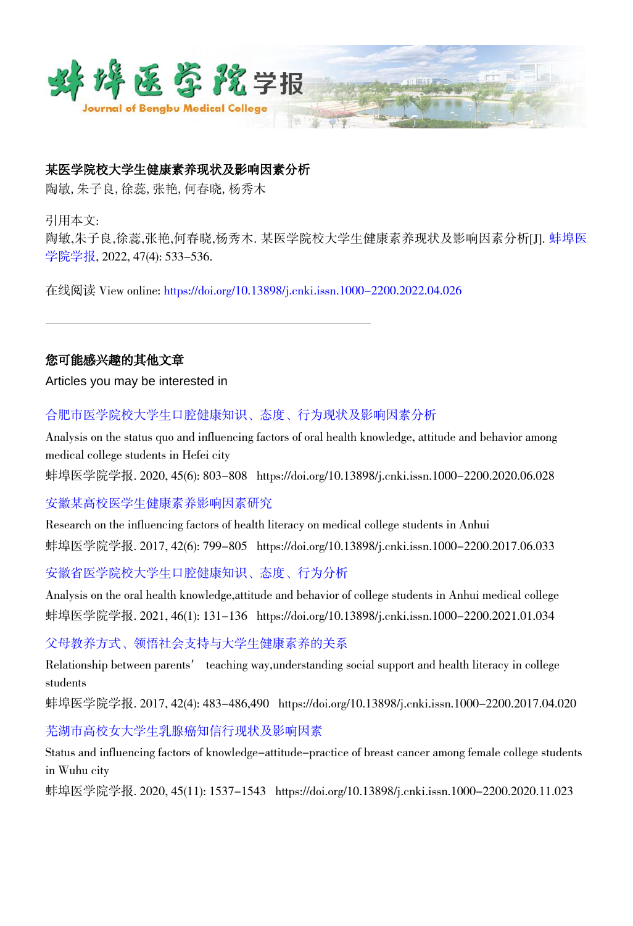

## 某医学院校大学生健康素养现状及影响因素分析

陶敏,朱子良,徐蕊,张艳,何春晓,杨秀木

引用本文:

陶敏,朱子良,徐蕊,张艳,何春晓,杨秀木. 某医学院校大学生健康素养现状及影响因素分析[J]. [蚌埠医](https://xuebao.bbmc.edu.cn/) [学院学报](https://xuebao.bbmc.edu.cn/), 2022, 47(4): 533-536.

在线阅读 View online: [https://doi.org/10.13898/j.cnki.issn.1000-2200.2022.04.026](https://xuebao.bbmc.edu.cn/cn/article/doi/10.13898/j.cnki.issn.1000-2200.2022.04.026)

# 您可能感兴趣的其他文章

Articles you may be interested in

[合肥市医学院校大学生口腔健康知识、态度、行为现状及影响因素分析](https://xuebao.bbmc.edu.cn/cn/article/doi/10.13898/j.cnki.issn.1000-2200.2020.06.028)

Analysis on the status quo and influencing factors of oral health knowledge, attitude and behavior among medical college students in Hefei city

蚌埠医学院学报. 2020, 45(6): 803-808 https://doi.org/10.13898/j.cnki.issn.1000-2200.2020.06.028

## [安徽某高校医学生健康素养影响因素研究](https://xuebao.bbmc.edu.cn/cn/article/doi/10.13898/j.cnki.issn.1000-2200.2017.06.033)

Research on the influencing factors of health literacy on medical college students in Anhui 蚌埠医学院学报. 2017, 42(6): 799-805 https://doi.org/10.13898/j.cnki.issn.1000-2200.2017.06.033

[安徽省医学院校大学生口腔健康知识、态度、行为分析](https://xuebao.bbmc.edu.cn/cn/article/doi/10.13898/j.cnki.issn.1000-2200.2021.01.034)

Analysis on the oral health knowledge,attitude and behavior of college students in Anhui medical college 蚌埠医学院学报. 2021, 46(1): 131-136 https://doi.org/10.13898/j.cnki.issn.1000-2200.2021.01.034

[父母教养方式、领悟社会支持与大学生健康素养的关系](https://xuebao.bbmc.edu.cn/cn/article/doi/10.13898/j.cnki.issn.1000-2200.2017.04.020)

Relationship between parents′ teaching way,understanding social support and health literacy in college students

蚌埠医学院学报. 2017, 42(4): 483-486,490 https://doi.org/10.13898/j.cnki.issn.1000-2200.2017.04.020

[芜湖市高校女大学生乳腺癌知信行现状及影响因素](https://xuebao.bbmc.edu.cn/cn/article/doi/10.13898/j.cnki.issn.1000-2200.2020.11.023)

Status and influencing factors of knowledge-attitude-practice of breast cancer among female college students in Wuhu city

蚌埠医学院学报. 2020, 45(11): 1537-1543 https://doi.org/10.13898/j.cnki.issn.1000-2200.2020.11.023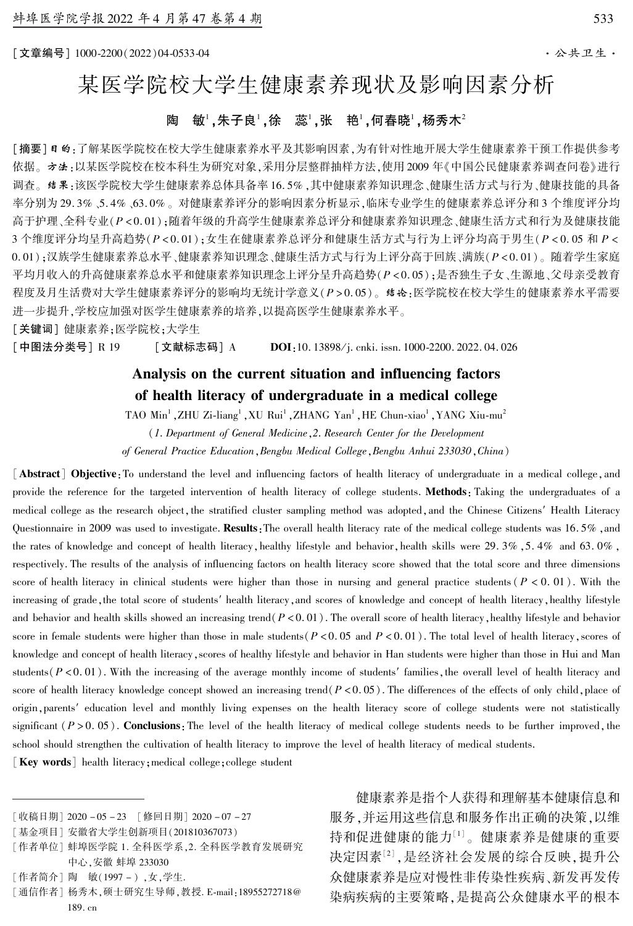## 陶 敏' ,朱子良' ,徐 蕊' ,张 艳' ,何春晓' ,杨秀木<del>'</del>

[摘要]目的:了解某医学院校在校大学生健康素养水平及其影响因素,为有针对性地开展大学生健康素养干预工作提供参考 依据。 方法:以某医学院校在校本科生为研究对象,采用分层整群抽样方法,使用 2009 年《中国公民健康素养调查问卷》进行 调查。 结果:该医学院校大学生健康素养总体具备率 16. 5% ,其中健康素养知识理念、健康生活方式与行为、健康技能的具备 率分别为 29. 3% 、5. 4% 、63. 0% 。 对健康素养评分的影响因素分析显示,临床专业学生的健康素养总评分和 3 个维度评分均 高于护理、全科专业(P < 0. 01);随着年级的升高学生健康素养总评分和健康素养知识理念、健康生活方式和行为及健康技能 3 个维度评分均呈升高趋势(P < 0. 01);女生在健康素养总评分和健康生活方式与行为上评分均高于男生(P < 0. 05 和 P < 0. 01);汉族学生健康素养总水平、健康素养知识理念、健康生活方式与行为上评分高于回族、满族(P < 0. 01)。 随着学生家庭 平均月收入的升高健康素养总水平和健康素养知识理念上评分呈升高趋势(P < 0. 05);是否独生子女、生源地、父母亲受教育 程度及月生活费对大学生健康素养评分的影响均无统计学意义(P > 0. 05)。 结论:医学院校在校大学生的健康素养水平需要 进一步提升,学校应加强对医学生健康素养的培养,以提高医学生健康素养水平。

[关键词] 健康素养;医学院校;大学生

[中图法分类号] R 19 [文献标志码] A DOI:10. 13898/j. cnki. issn. 1000-2200. 2022. 04. 026

# Analysis on the current situation and influencing factors of health literacy of undergraduate in a medical college

TAO Min<sup>1</sup>,ZHU Zi-liang<sup>1</sup>,XU Rui<sup>1</sup>,ZHANG Yan<sup>1</sup>,HE Chun-xiao<sup>1</sup>,YANG Xiu-mu<sup>2</sup> (1. Department of General Medicine,2. Research Center for the Development of General Practice Education,Bengbu Medical College,Bengbu Anhui 233030,China)

[Abstract] Objective: To understand the level and influencing factors of health literacy of undergraduate in a medical college, and provide the reference for the targeted intervention of health literacy of college students. Methods: Taking the undergraduates of a medical college as the research object, the stratified cluster sampling method was adopted, and the Chinese Citizens' Health Literacy Questionnaire in 2009 was used to investigate. Results: The overall health literacy rate of the medical college students was 16.5%, and the rates of knowledge and concept of health literacy, healthy lifestyle and behavior, health skills were 29.  $3\%$ ,  $5.4\%$  and 63. 0%, respectively. The results of the analysis of influencing factors on health literacy score showed that the total score and three dimensions score of health literacy in clinical students were higher than those in nursing and general practice students ( $P < 0.01$ ). With the increasing of grade, the total score of students' health literacy, and scores of knowledge and concept of health literacy, healthy lifestyle and behavior and health skills showed an increasing trend( $P < 0.01$ ). The overall score of health literacy, healthy lifestyle and behavior score in female students were higher than those in male students( $P < 0.05$  and  $P < 0.01$ ). The total level of health literacy, scores of knowledge and concept of health literacy,scores of healthy lifestyle and behavior in Han students were higher than those in Hui and Man students( $P < 0.01$ ). With the increasing of the average monthly income of students' families, the overall level of health literacy and score of health literacy knowledge concept showed an increasing trend( $P < 0.05$ ). The differences of the effects of only child, place of origin, parents' education level and monthly living expenses on the health literacy score of college students were not statistically significant  $(P > 0.05)$ . Conclusions: The level of the health literacy of medical college students needs to be further improved, the school should strengthen the cultivation of health literacy to improve the level of health literacy of medical students.

[Key words] health literacy; medical college; college student

- [收稿日期] 2020 05 23 [修回日期] 2020 07 27
- [基金项目] 安徽省大学生创新项目(201810367073)

[作者简介] 陶 敏(1997 - ) ,女,学生.

健康素养是指个人获得和理解基本健康信息和 服务,并运用这些信息和服务作出正确的决策,以维 持和促进健康的能力[1] 。 健康素养是健康的重要 决定因素[2] ,是经济社会发展的综合反映,提升公 众健康素养是应对慢性非传染性疾病、新发再发传 染病疾病的主要策略,是提高公众健康水平的根本

<sup>[</sup>作者单位] 蚌埠医学院 1. 全科医学系,2. 全科医学教育发展研究 中心,安徽 蚌埠 233030

<sup>[</sup>通信作者] 杨秀木,硕士研究生导师,教授. E-mail:18955272718@ 189. cn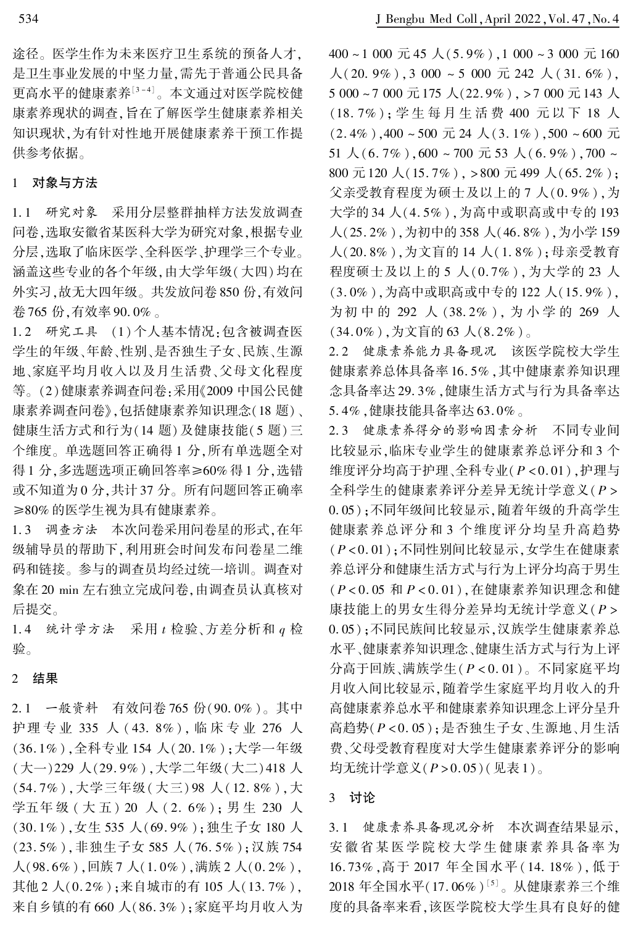途径。 医学生作为未来医疗卫生系统的预备人才, 是卫生事业发展的中坚力量,需先于普通公民具备 更高水平的健康素养<sup>[3-4]</sup>。本文通过对医学院校健 康素养现状的调查,旨在了解医学生健康素养相关 知识现状,为有针对性地开展健康素养干预工作提 供参考依据。

#### 1 对象与方法

1. 1 研究对象 采用分层整群抽样方法发放调查 问卷,选取安徽省某医科大学为研究对象,根据专业 分层,选取了临床医学、全科医学、护理学三个专业。 涵盖这些专业的各个年级,由大学年级(大四)均在 外实习,故无大四年级。 共发放问卷 850 份,有效问 卷 765 份,有效率 90. 0% 。

1. 2 研究工具 (1)个人基本情况:包含被调查医 学生的年级、年龄、性别、是否独生子女、民族、生源 地、家庭平均月收入以及月生活费、父母文化程度 等。 (2)健康素养调查问卷:采用《2009 中国公民健 康素养调查问卷》,包括健康素养知识理念(18 题)、 健康生活方式和行为(14 题)及健康技能(5 题)三 个维度。 单选题回答正确得 1 分,所有单选题全对 得1分,多选题选项正确回答率≥60%得1分,选错 或不知道为 0 分,共计 37 分。 所有问题回答正确率 ≥80% 的医学生视为具有健康素养。

1. 3 调查方法 本次问卷采用问卷星的形式,在年 级辅导员的帮助下,利用班会时间发布问卷星二维 码和链接。参与的调查员均经过统一培训。调查对 象在 20 min 左右独立完成问卷,由调查员认真核对 后提交。

 $1.4$  统计学方法 采用  $t$  检验、方差分析和  $q$  检 验。

#### 2 结果

2. 1 一般资料 有效问卷 765 份(90. 0% )。 其中 护理 专 业 335 人 ( 43. 8% ), 临 床 专 业 276 人 (36. 1% ),全科专业 154 人(20. 1% );大学一年级 (大一)229 人(29. 9% ),大学二年级(大二)418 人 (54. 7% ),大学三年级(大三) 98 人(12. 8% ),大 学五年 级 ( 大 五) 20 人 ( 2. 6% ); 男 生 230 人 (30. 1% ),女生 535 人(69. 9% );独生子女 180 人 (23. 5% ),非独生子女 585 人(76. 5% );汉族 754 人(98. 6% ),回族 7 人(1. 0% ),满族 2 人(0. 2% ), 其他 2 人(0. 2% );来自城市的有 105 人(13. 7% ), 来自乡镇的有 660 人(86. 3% );家庭平均月收入为

400 ~ 1 000 元 45 人(5. 9% ),1 000 ~ 3 000 元 160  $\lambda$ (20.9%), 3 000~5 000 元 242 人 (31.6%), 5 000 ~ 7 000 元 175 人(22. 9% ), > 7 000 元 143 人 (18. 7% ); 学 生 每 月 生 活 费 400 元 以 下 18 人  $(2.4\%)$ , $400 \sim 500 \overline{\text{E}}$  24 人 $(3.1\%)$ , $500 \sim 600 \overline{\text{E}}$  $51 \text{ }\lambda(6.7\%)$ ,  $600 \sim 700 \text{ }\overline{\text{ }1}$  53  $\text{ }\lambda(6.9\%)$ ,  $700 \sim$ 800 元 120 人(15. 7% ), > 800 元 499 人(65. 2% ); 父亲受教育程度为硕士及以上的 7 人(0. 9% ),为 大学的 34 人(4. 5% ),为高中或职高或中专的 193 人(25. 2% ),为初中的 358 人(46. 8% ),为小学 159 人(20. 8% ),为文盲的 14 人(1. 8% );母亲受教育 程度硕士及以上的 5 人(0. 7% ),为大学的 23 人 (3. 0% ),为高中或职高或中专的 122 人(15. 9% ), 为初 中 的 292 人 (38. 2% ), 为 小 学 的 269 人 (34. 0% ),为文盲的 63 人(8. 2% )。

2. 2 健康素养能力具备现况 该医学院校大学生 健康素养总体具备率 16. 5% ,其中健康素养知识理 念具备率达 29. 3% ,健康生活方式与行为具备率达 5. 4% ,健康技能具备率达 63. 0% 。

2. 3 健康素养得分的影响因素分析 不同专业间 比较显示,临床专业学生的健康素养总评分和 3 个 维度评分均高于护理、全科专业(P < 0. 01),护理与 全科学生的健康素养评分差异无统计学意义(P > 0. 05);不同年级间比较显示,随着年级的升高学生 健康素养总评分和 3 个维度评分均呈升高趋势 (P < 0. 01);不同性别间比较显示,女学生在健康素 养总评分和健康生活方式与行为上评分均高于男生 (P < 0. 05 和 P < 0. 01),在健康素养知识理念和健 康技能上的男女生得分差异均无统计学意义(P > 0. 05);不同民族间比较显示,汉族学生健康素养总 水平、健康素养知识理念、健康生活方式与行为上评 分高于回族、满族学生(P < 0. 01)。 不同家庭平均 月收入间比较显示,随着学生家庭平均月收入的升 高健康素养总水平和健康素养知识理念上评分呈升 高趋势(P < 0. 05);是否独生子女、生源地、月生活 费、父母受教育程度对大学生健康素养评分的影响 均无统计学意义(P>0.05)(见表1)。

#### 3 讨论

3. 1 健康素养具备现况分析 本次调查结果显示, 安徽省某医学院校大学生健康素养具备率为 16. 73% ,高于 2017 年全国水平(14. 18% ),低于  $2018$  年全国水平 $(17.06\%)$   $^{[5]}$  。从健康素养三个维 度的具备率来看,该医学院校大学生具有良好的健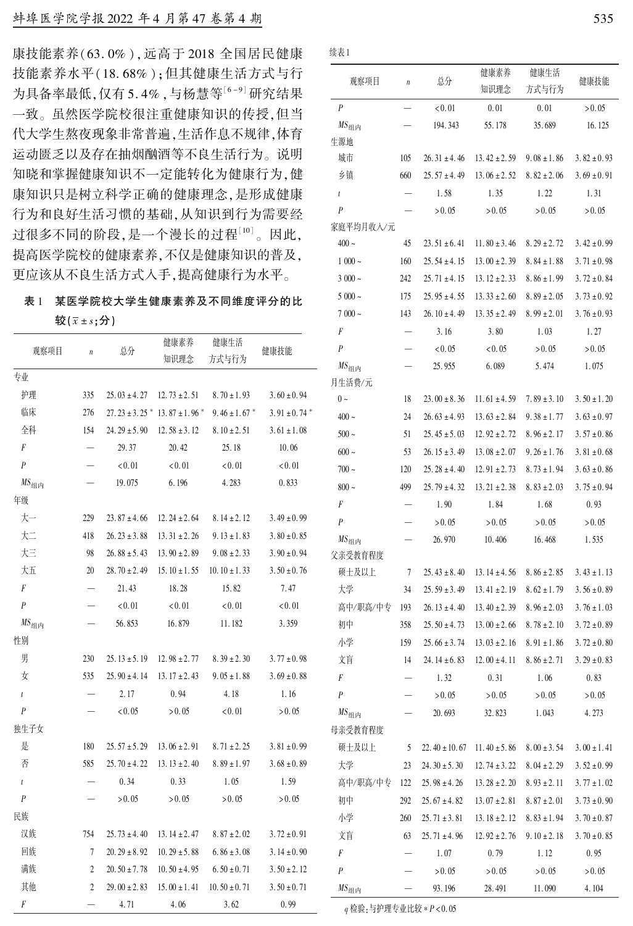康技能素养(63. 0% ),远高于 2018 全国居民健康 技能素养水平(18. 68% );但其健康生活方式与行 为具备率最低, 仅有 5.4%, 与杨慧等 $[6-9]$  研究结果 一致。 虽然医学院校很注重健康知识的传授,但当 代大学生熬夜现象非常普遍,生活作息不规律,体育 运动匮乏以及存在抽烟酗酒等不良生活行为。 说明 知晓和掌握健康知识不一定能转化为健康行为,健 康知识只是树立科学正确的健康理念,是形成健康 行为和良好生活习惯的基础,从知识到行为需要经 过很多不同的阶段,是一个漫长的过程[10] 。 因此, 提高医学院校的健康素养,不仅是健康知识的普及, 更应该从不良生活方式入手,提高健康行为水平。

## 表 1 某医学院校大学生健康素养及不同维度评分的比 较 $(\bar{x} \pm s; \hat{y})$

| 观察项目                                                         |                  | 总分                 | 健康素养               | 健康生活              |                   |  |
|--------------------------------------------------------------|------------------|--------------------|--------------------|-------------------|-------------------|--|
|                                                              | $\boldsymbol{n}$ |                    | 知识理念               | 方式与行为             | 健康技能              |  |
| 专业                                                           |                  |                    |                    |                   |                   |  |
| 护理                                                           | 335              | $25.03 \pm 4.27$   | $12.73 \pm 2.51$   | $8.70 \pm 1.93$   | $3.60 \pm 0.94$   |  |
| 临床                                                           | 276              | $27.23 \pm 3.25$ * | $13.87 \pm 1.96$ * | $9.46 \pm 1.67$ * | $3.91 \pm 0.74$ * |  |
| 全科                                                           | 154              | $24.29 \pm 5.90$   | $12.58 \pm 3.12$   | $8.10 \pm 2.51$   | $3.61 \pm 1.08$   |  |
| F                                                            |                  | 29.37              | 20.42              | 25.18             | 10.06             |  |
| $\boldsymbol{P}$                                             |                  | < 0.01             | < 0.01             | < 0.01            | < 0.01            |  |
| $MS_{\text{2H}P}$                                            |                  | 19.075             | 6.196              | 4.283             | 0.833             |  |
| 年级                                                           |                  |                    |                    |                   |                   |  |
| 大一                                                           | 229              | $23.87 \pm 4.66$   | $12.24 \pm 2.64$   | $8.14 \pm 2.12$   | $3.49 \pm 0.99$   |  |
| 大二                                                           | 418              | $26.23 \pm 3.88$   | $13.31 \pm 2.26$   | $9.13 \pm 1.83$   | $3.80 \pm 0.85$   |  |
| 大三                                                           | 98               | $26.88 \pm 5.43$   | $13.90 \pm 2.89$   | $9.08 \pm 2.33$   | $3.90 \pm 0.94$   |  |
| 大五                                                           | 20               | $28.70 \pm 2.49$   | $15.10 \pm 1.55$   | $10.10 \pm 1.33$  | $3.50 \pm 0.76$   |  |
| F                                                            |                  | 21.43              | 18.28              | 15.82             | 7.47              |  |
| $\overline{P}$                                               |                  | < 0.01             | < 0.01             | < 0.01            | < 0.01            |  |
| $MS_{\pounds\hspace{-0.65em}\pounds\hspace{-0.65em}\pounds}$ |                  | 56.853             | 16.879             | 11.182            | 3.359             |  |
| 性别                                                           |                  |                    |                    |                   |                   |  |
| 男                                                            | 230              | $25.13 \pm 5.19$   | $12.98 \pm 2.77$   | $8.39 \pm 2.30$   | $3.77 \pm 0.98$   |  |
| 女                                                            | 535              | $25.90 \pm 4.14$   | $13.17 \pm 2.43$   | $9.05 \pm 1.88$   | $3.69 \pm 0.88$   |  |
| $\boldsymbol{t}$                                             |                  | 2.17               | 0.94               | 4.18              | 1.16              |  |
| $\boldsymbol{P}$                                             |                  | 0.05               | > 0.05             | < 0.01            | > 0.05            |  |
| 独生子女                                                         |                  |                    |                    |                   |                   |  |
| 是                                                            | 180              | $25.57 \pm 5.29$   | $13.06 \pm 2.91$   | $8.71 \pm 2.25$   | $3.81 \pm 0.99$   |  |
| 否                                                            | 585              | $25.70 \pm 4.22$   | $13.13 \pm 2.40$   | $8.89 \pm 1.97$   | $3.68 \pm 0.89$   |  |
| $\bar{t}$                                                    |                  | 0.34               | 0.33               | 1.05              | 1.59              |  |
| $\boldsymbol{P}$                                             |                  | > 0.05             | > 0.05             | > 0.05            | > 0.05            |  |
| 民族                                                           |                  |                    |                    |                   |                   |  |
| 汉族                                                           | 754              | $25.73 \pm 4.40$   | 13.14 $\pm$ 2.47   | $8.87 \pm 2.02$   | $3.72 \pm 0.91$   |  |
| 回族                                                           | 7                | $20.29 \pm 8.92$   | $10.29 \pm 5.88$   | $6.86 \pm 3.08$   | $3.14 \pm 0.90$   |  |
| 满族                                                           | 2                | $20.50 \pm 7.78$   | $10.50 \pm 4.95$   | $6.50 \pm 0.71$   | $3.50 \pm 2.12$   |  |
| 其他                                                           | 2                | $29.00 \pm 2.83$   | $15.00 \pm 1.41$   | $10.50 \pm 0.71$  | $3.50 \pm 0.71$   |  |
| F                                                            |                  | 4.71               | 4.06               | 3.62              | 0.99              |  |

| I |  |
|---|--|
|   |  |

| 头衣 1                      |                  |                   |                  |                 |                 |
|---------------------------|------------------|-------------------|------------------|-----------------|-----------------|
| 观察项目                      | $\boldsymbol{n}$ | 总分                | 健康素养<br>知识理念     | 健康生活<br>方式与行为   | 健康技能            |
| P                         |                  | < 0.01            | 0.01             | 0.01            | > 0.05          |
| $MS_{\nleq \mathbb{H}}$ 内 |                  | 194.343           | 55.178           | 35.689          | 16.125          |
| 生源地                       |                  |                   |                  |                 |                 |
| 城市                        | 105              | $26.31 \pm 4.46$  | $13.42 \pm 2.59$ | $9.08 \pm 1.86$ | $3.82 \pm 0.93$ |
| 乡镇                        | 660              | $25.57 \pm 4.49$  | $13.06 \pm 2.52$ | $8.82 \pm 2.06$ | $3.69 \pm 0.91$ |
| $\boldsymbol{t}$          |                  | 1.58              | 1.35             | 1.22            | 1.31            |
| P                         |                  | > 0.05            | > 0.05           | > 0.05          | > 0.05          |
| 家庭平均月收入/元                 |                  |                   |                  |                 |                 |
| $400 \sim$                | 45               | $23.51 \pm 6.41$  | $11.80 \pm 3.46$ | $8.29 \pm 2.72$ | $3.42 \pm 0.99$ |
| $1000 -$                  | 160              | $25.54 \pm 4.15$  | $13.00 \pm 2.39$ | $8.84 \pm 1.88$ | $3.71 \pm 0.98$ |
| $3000 -$                  | 242              | $25.71 \pm 4.15$  | $13.12 \pm 2.33$ | $8.86 \pm 1.99$ | $3.72 \pm 0.84$ |
| $5000 -$                  | 175              | $25.95 \pm 4.55$  | $13.33 \pm 2.60$ | $8.89 \pm 2.05$ | $3.73 \pm 0.92$ |
| $7000 -$                  | 143              | $26.10 \pm 4.49$  | $13.35 \pm 2.49$ | $8.99 \pm 2.01$ | $3.76 \pm 0.93$ |
| F                         |                  | 3.16              | 3.80             | 1.03            | 1.27            |
| $\boldsymbol{P}$          |                  | 0.05              | 0.05             | > 0.05          | > 0.05          |
| $MS_{\text{2H}}$ ry       |                  | 25.955            | 6.089            | 5.474           | 1.075           |
| 月生活费/元                    |                  |                   |                  |                 |                 |
| $0 \sim$                  | 18               | $23.00 \pm 8.36$  | $11.61 \pm 4.59$ | $7.89 \pm 3.10$ | $3.50 \pm 1.20$ |
| $400 \sim$                | 24               | $26.63 \pm 4.93$  | $13.63 \pm 2.84$ | $9.38 \pm 1.77$ | $3.63 \pm 0.97$ |
| $500 -$                   | 51               | $25.45 \pm 5.03$  | $12.92 \pm 2.72$ | $8.96 \pm 2.17$ | $3.57 \pm 0.86$ |
| $600 -$                   | 53               | $26.15 \pm 3.49$  | $13.08 \pm 2.07$ | $9.26 \pm 1.76$ | $3.81 \pm 0.68$ |
| $700 -$                   | 120              | $25.28 \pm 4.40$  | $12.91 \pm 2.73$ | $8.73 \pm 1.94$ | $3.63 \pm 0.86$ |
| $800 -$                   | 499              | $25.79 \pm 4.32$  | $13.21 \pm 2.38$ | $8.83 \pm 2.03$ | $3.75 \pm 0.94$ |
| F                         |                  | 1.90              | 1.84             | 1.68            | 0.93            |
| P                         |                  | > 0.05            | > 0.05           | > 0.05          | > 0.05          |
| $MS_{\nsubseteq  A }$     |                  | 26.970            | 10.406           | 16.468          | 1.535           |
| 父亲受教育程度                   |                  |                   |                  |                 |                 |
| 硕士及以上                     | 7                | $25.43 \pm 8.40$  | $13.14 \pm 4.56$ | $8.86 \pm 2.85$ | $3.43 \pm 1.13$ |
| 大学                        | 34               | $25.59 \pm 3.49$  | $13.41 \pm 2.19$ | $8.62 \pm 1.79$ | $3.56 \pm 0.89$ |
| 高中/职高/中专                  | 193              | $26.13 \pm 4.40$  | $13.40 \pm 2.39$ | $8.96 \pm 2.03$ | $3.76 \pm 1.03$ |
| 初中                        | 358              | $25.50 \pm 4.73$  | $13.00 \pm 2.66$ | $8.78 \pm 2.10$ | $3.72 \pm 0.89$ |
| 小学                        | 159              | $25.66 \pm 3.74$  | $13.03 \pm 2.16$ | $8.91 \pm 1.86$ | $3.72 \pm 0.80$ |
| 文盲                        | 14               | 24. $14 \pm 6.83$ | $12.00 \pm 4.11$ | $8.86 \pm 2.71$ | $3.29 \pm 0.83$ |
| F                         |                  | 1.32              | 0.31             | 1.06            | 0.83            |
| $\boldsymbol{P}$          |                  | > 0.05            | > 0.05           | > 0.05          | > 0.05          |
| $MS_{\nleq \mathbb{H}}$ 内 |                  | 20.693            | 32.823           | 1.043           | 4.273           |
| 母亲受教育程度                   |                  |                   |                  |                 |                 |
| 硬士及以上                     | 5                | $22.40 \pm 10.67$ | $11.40 \pm 5.86$ | $8.00 \pm 3.54$ | $3.00 \pm 1.41$ |
| 大学                        | 23               | $24.30 \pm 5.30$  | $12.74 \pm 3.22$ | $8.04 \pm 2.29$ | $3.52 \pm 0.99$ |
| 高中/职高/中专                  | 122              | $25.98 \pm 4.26$  | $13.28 \pm 2.20$ | $8.93 \pm 2.11$ | $3.77 \pm 1.02$ |
| 初中                        | 292              | $25.67 \pm 4.82$  | $13.07 \pm 2.81$ | $8.87 \pm 2.01$ | $3.73 \pm 0.90$ |
| 小学                        | 260              | $25.71 \pm 3.81$  | $13.18 \pm 2.12$ | $8.83 \pm 1.94$ | $3.70 \pm 0.87$ |
| 文盲                        | 63               | $25.71 \pm 4.96$  | $12.92 \pm 2.76$ | $9.10 \pm 2.18$ | $3.70 \pm 0.85$ |
| F                         |                  | 1.07              | 0.79             | 1.12            | 0.95            |
| $\boldsymbol{P}$          |                  | > 0.05            | > 0.05           | > 0.05          | > 0.05          |
| $MS_{\text{2H}}$ 内        |                  | 93.196            | 28.491           | 11.090          | 4.104           |

q 检验:与护理专业比较\*P < 0. 05